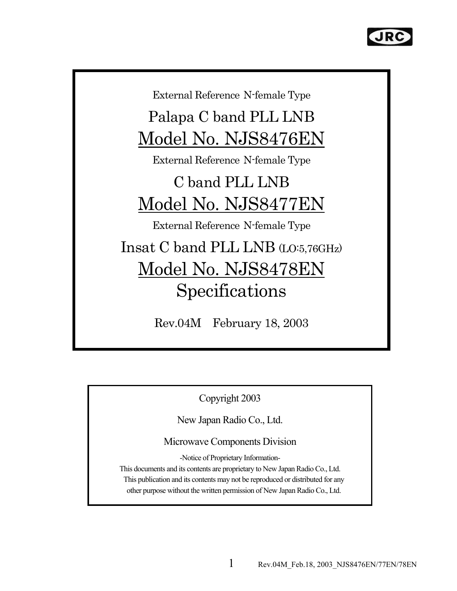

External Reference N-female Type

Palapa C band PLL LNB Model No. NJS8476EN

External Reference N-female Type

# C band PLL LNB Model No. NJS8477EN

External Reference N-female Type

Insat C band PLL LNB (LO:5,76GHz) Model No. NJS8478EN Specifications

Rev.04M February 18, 2003

Copyright 2003

New Japan Radio Co., Ltd.

Microwave Components Division

-Notice of Proprietary Information-

This documents and its contents are proprietary to New Japan Radio Co., Ltd. This publication and its contents may not be reproduced or distributed for any other purpose without the written permission of New Japan Radio Co., Ltd.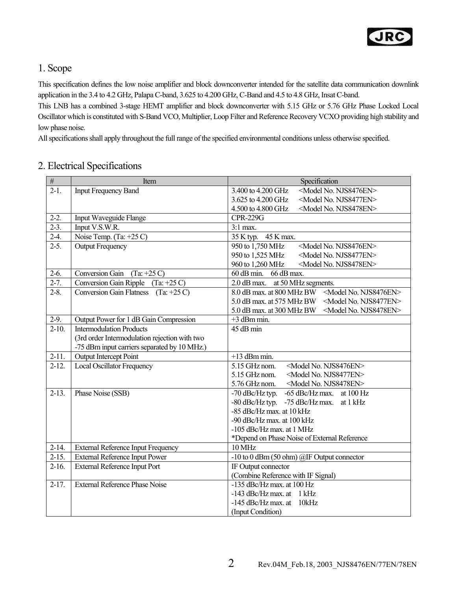

#### 1. Scope

This specification defines the low noise amplifier and block downconverter intended for the satellite data communication downlink application in the 3.4 to 4.2 GHz, Palapa C-band, 3.625 to 4.200 GHz, C-Band and 4.5 to 4.8 GHz, Insat C-band.

This LNB has a combined 3-stage HEMT amplifier and block downconverter with 5.15 GHz or 5.76 GHz Phase Locked Local Oscillator which is constituted with S-Band VCO, Multiplier, Loop Filter and Reference Recovery VCXO providing high stability and low phase noise.

All specifications shall apply throughout the full range of the specified environmental conditions unless otherwise specified.

#### 2. Electrical Specifications

| $\overline{\#}$ | Item                                          | Specification                                                    |
|-----------------|-----------------------------------------------|------------------------------------------------------------------|
| $2-1.$          | <b>Input Frequency Band</b>                   | <model njs8476en="" no.=""><br/>3.400 to 4.200 GHz</model>       |
|                 |                                               | <model njs8477en="" no.=""><br/>3.625 to 4.200 GHz</model>       |
|                 |                                               | 4.500 to 4.800 GHz<br><model njs8478en="" no.=""></model>        |
| $2-2.$          | Input Waveguide Flange                        | <b>CPR-229G</b>                                                  |
| $2-3.$          | Input V.S.W.R.                                | $3:1$ max.                                                       |
| $2-4.$          | Noise Temp. (Ta: +25 C)                       | 35 K typ. 45 K max.                                              |
| $2 - 5.$        | <b>Output Frequency</b>                       | 950 to 1,750 MHz<br><model njs8476en="" no.=""></model>          |
|                 |                                               | 950 to 1,525 MHz<br><model njs8477en="" no.=""></model>          |
|                 |                                               | 960 to 1,260 MHz<br><model njs8478en="" no.=""></model>          |
| $2-6.$          | Conversion Gain $(Ta: +25 C)$                 | $60$ dB min.<br>66 dB max.                                       |
| $2 - 7$ .       | Conversion Gain Ripple $(Ta: +25 C)$          | 2.0 dB max. at 50 MHz segments.                                  |
| $2 - 8.$        | Conversion Gain Flatness $(Ta: +25 C)$        | 8.0 dB max. at 800 MHz BW <model njs8476en="" no.=""></model>    |
|                 |                                               | 5.0 dB max. at 575 MHz BW<br><model njs8477en="" no.=""></model> |
|                 |                                               | 5.0 dB max. at 300 MHz BW<br><model njs8478en="" no.=""></model> |
| $2-9.$          | Output Power for 1 dB Gain Compression        | $+3$ dBm min.                                                    |
| $2-10.$         | <b>Intermodulation Products</b>               | 45 dB min                                                        |
|                 | (3rd order Intermodulation rejection with two |                                                                  |
|                 | -75 dBm input carriers separated by 10 MHz.)  |                                                                  |
| $2-11.$         | Output Intercept Point                        | $+13$ dBm min.                                                   |
| $2-12.$         | Local Oscillator Frequency                    | 5.15 GHz nom.<br><model njs8476en="" no.=""></model>             |
|                 |                                               | 5.15 GHz nom.<br><model njs8477en="" no.=""></model>             |
|                 |                                               | 5.76 GHz nom.<br><model njs8478en="" no.=""></model>             |
| $2-13.$         | Phase Noise (SSB)                             | -70 dBc/Hz typ. -65 dBc/Hz max. at 100 Hz                        |
|                 |                                               | -80 dBc/Hz typ. -75 dBc/Hz max. at 1 kHz                         |
|                 |                                               | -85 dBc/Hz max. at 10 kHz                                        |
|                 |                                               | -90 dBc/Hz max. at 100 kHz                                       |
|                 |                                               | -105 dBc/Hz max. at 1 MHz                                        |
|                 |                                               | *Depend on Phase Noise of External Reference                     |
| $2-14.$         | <b>External Reference Input Frequency</b>     | 10 MHz                                                           |
| $2-15.$         | <b>External Reference Input Power</b>         | -10 to 0 dBm (50 ohm) @IF Output connector                       |
| $2-16.$         | <b>External Reference Input Port</b>          | IF Output connector                                              |
|                 |                                               | (Combine Reference with IF Signal)                               |
| $2-17.$         | <b>External Reference Phase Noise</b>         | -135 dBc/Hz max. at 100 Hz                                       |
|                 |                                               | $-143$ dBc/Hz max. at 1 kHz                                      |
|                 |                                               | $-145$ dBc/Hz max. at<br>10kHz                                   |
|                 |                                               | (Input Condition)                                                |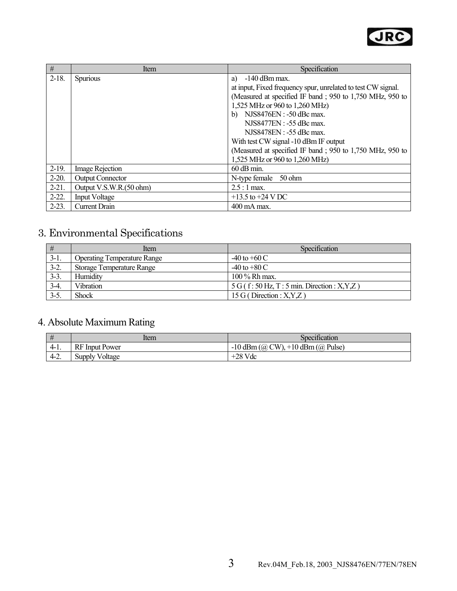

| #          | Item                    | Specification                                                |
|------------|-------------------------|--------------------------------------------------------------|
| $2-18.$    | <b>Spurious</b>         | $-140$ dBm max.<br>a)                                        |
|            |                         | at input, Fixed frequency spur, unrelated to test CW signal. |
|            |                         | (Measured at specified IF band; 950 to 1,750 MHz, 950 to     |
|            |                         | 1,525 MHz or 960 to 1,260 MHz)                               |
|            |                         | b) NJS8476EN : -50 dBc max.                                  |
|            |                         | NJS8477EN : -55 dBc max.                                     |
|            |                         | NJS8478EN : -55 dBc max.                                     |
|            |                         | With test CW signal -10 dBm IF output                        |
|            |                         | (Measured at specified IF band; 950 to 1,750 MHz, 950 to     |
|            |                         | 1,525 MHz or 960 to 1,260 MHz)                               |
| $2-19.$    | Image Rejection         | $60$ dB min.                                                 |
| $2 - 20.$  | <b>Output Connector</b> | N-type female 50 ohm                                         |
| $2-21.$    | Output V.S.W.R.(50 ohm) | $2.5:1$ max.                                                 |
| $2 - 22$ . | <b>Input Voltage</b>    | $+13.5$ to $+24$ V DC                                        |
| $2-23.$    | <b>Current Drain</b>    | 400 mA max.                                                  |

## 3. Environmental Specifications

| #      | Item                               | Specification                               |
|--------|------------------------------------|---------------------------------------------|
| $3-1.$ | <b>Operating Temperature Range</b> | $-40$ to $+60$ C                            |
| $3-2.$ | Storage Temperature Range          | $-40$ to $+80$ C                            |
| $3-3.$ | Humidity                           | 100 % Rh max.                               |
| $3-4.$ | <b>Vibration</b>                   | $5 G(f: 50 Hz, T: 5 min. Direction: X,Y,Z)$ |
| $3-5.$ | <b>Shock</b>                       | 15 G (Direction : $X, Y, Z$ )               |

### 4. Absolute Maximum Rating

|        | ltem                  | Specification                         |
|--------|-----------------------|---------------------------------------|
| $4-1.$ | <b>RF</b> Input Power | $-10$ dBm (@ CW), $+10$ dBm (@ Pulse) |
| $4-2.$ | <b>Supply Voltage</b> | $+28$ Vdc                             |